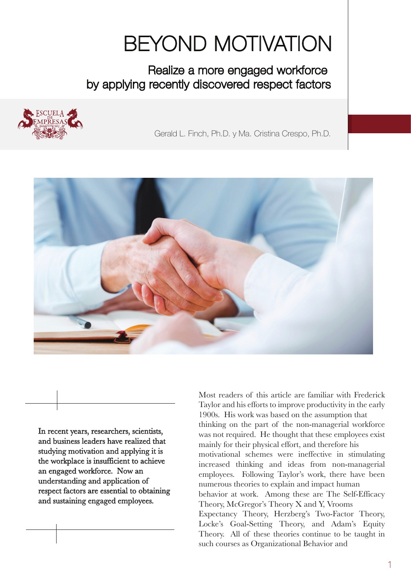## BEYOND MOTIVATION

Realize a more engaged workforce by applying recently discovered respect factors



Gerald L. Finch, Ph.D. y Ma. Cristina Crespo, Ph.D.



In recent years, researchers, scientists, and business leaders have realized that studying motivation and applying it is the workplace is insufficient to achieve an engaged workforce. Now an understanding and application of respect factors are essential to obtaining and sustaining engaged employees.

Most readers of this article are familiar with Frederick Taylor and his efforts to improve productivity in the early 1900s. His work was based on the assumption that thinking on the part of the non-managerial workforce was not required. He thought that these employees exist mainly for their physical effort, and therefore his motivational schemes were ineffective in stimulating increased thinking and ideas from non-managerial employees. Following Taylor's work, there have been numerous theories to explain and impact human behavior at work. Among these are The Self-Efficacy Theory, McGregor's Theory X and Y, Vrooms Expectancy Theory, Herzberg's Two-Factor Theory, Locke's Goal-Setting Theory, and Adam's Equity Theory. All of these theories continue to be taught in such courses as Organizational Behavior and